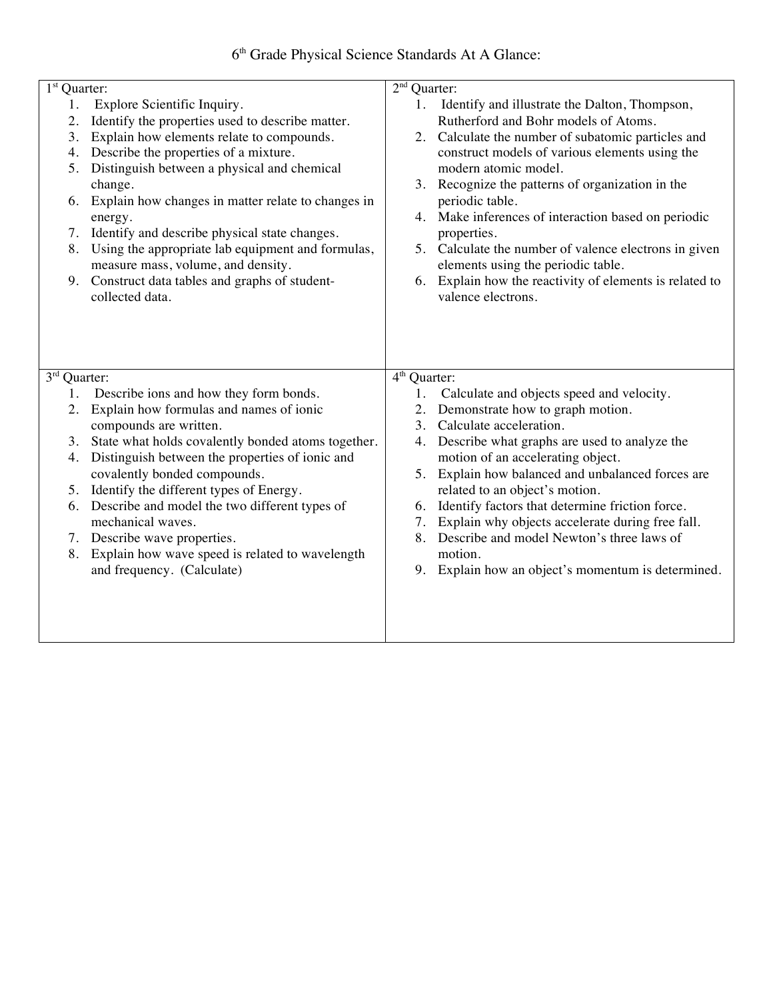6th Grade Physical Science Standards At A Glance:

| $1st$ Quarter:  |                                                                            | $2nd$ Quarter:                                                                      |  |
|-----------------|----------------------------------------------------------------------------|-------------------------------------------------------------------------------------|--|
| 1.              | Explore Scientific Inquiry.                                                | Identify and illustrate the Dalton, Thompson,<br>1.                                 |  |
| 2.              | Identify the properties used to describe matter.                           | Rutherford and Bohr models of Atoms.                                                |  |
| 3.              | Explain how elements relate to compounds.                                  | 2. Calculate the number of subatomic particles and                                  |  |
| 4.              | Describe the properties of a mixture.                                      | construct models of various elements using the                                      |  |
| 5.              | Distinguish between a physical and chemical                                | modern atomic model.                                                                |  |
|                 | change.                                                                    | 3. Recognize the patterns of organization in the                                    |  |
| 6.              | Explain how changes in matter relate to changes in                         | periodic table.                                                                     |  |
|                 | energy.                                                                    | 4. Make inferences of interaction based on periodic                                 |  |
| 7.              | Identify and describe physical state changes.                              | properties.                                                                         |  |
| 8.              | Using the appropriate lab equipment and formulas,                          | 5. Calculate the number of valence electrons in given                               |  |
|                 | measure mass, volume, and density.                                         | elements using the periodic table.                                                  |  |
|                 | 9. Construct data tables and graphs of student-                            | 6. Explain how the reactivity of elements is related to                             |  |
|                 | collected data.                                                            | valence electrons.                                                                  |  |
|                 |                                                                            |                                                                                     |  |
|                 |                                                                            |                                                                                     |  |
|                 |                                                                            |                                                                                     |  |
| 3 <sup>rd</sup> | Quarter:                                                                   | $4th$ Quarter:                                                                      |  |
| 1.              | Describe ions and how they form bonds.                                     | Calculate and objects speed and velocity.<br>1.                                     |  |
| 2.              | Explain how formulas and names of ionic                                    | 2. Demonstrate how to graph motion.                                                 |  |
|                 | compounds are written.                                                     | 3. Calculate acceleration.                                                          |  |
| 3.<br>4.        | State what holds covalently bonded atoms together.                         | 4. Describe what graphs are used to analyze the                                     |  |
|                 | Distinguish between the properties of ionic and                            | motion of an accelerating object.                                                   |  |
|                 | covalently bonded compounds.<br>5. Identify the different types of Energy. | 5. Explain how balanced and unbalanced forces are<br>related to an object's motion. |  |
|                 | 6. Describe and model the two different types of                           | 6. Identify factors that determine friction force.                                  |  |
|                 | mechanical waves.                                                          | 7. Explain why objects accelerate during free fall.                                 |  |
|                 | 7. Describe wave properties.                                               | 8. Describe and model Newton's three laws of                                        |  |
| 8.              | Explain how wave speed is related to wavelength                            | motion.                                                                             |  |
|                 | and frequency. (Calculate)                                                 | 9. Explain how an object's momentum is determined.                                  |  |
|                 |                                                                            |                                                                                     |  |
|                 |                                                                            |                                                                                     |  |
|                 |                                                                            |                                                                                     |  |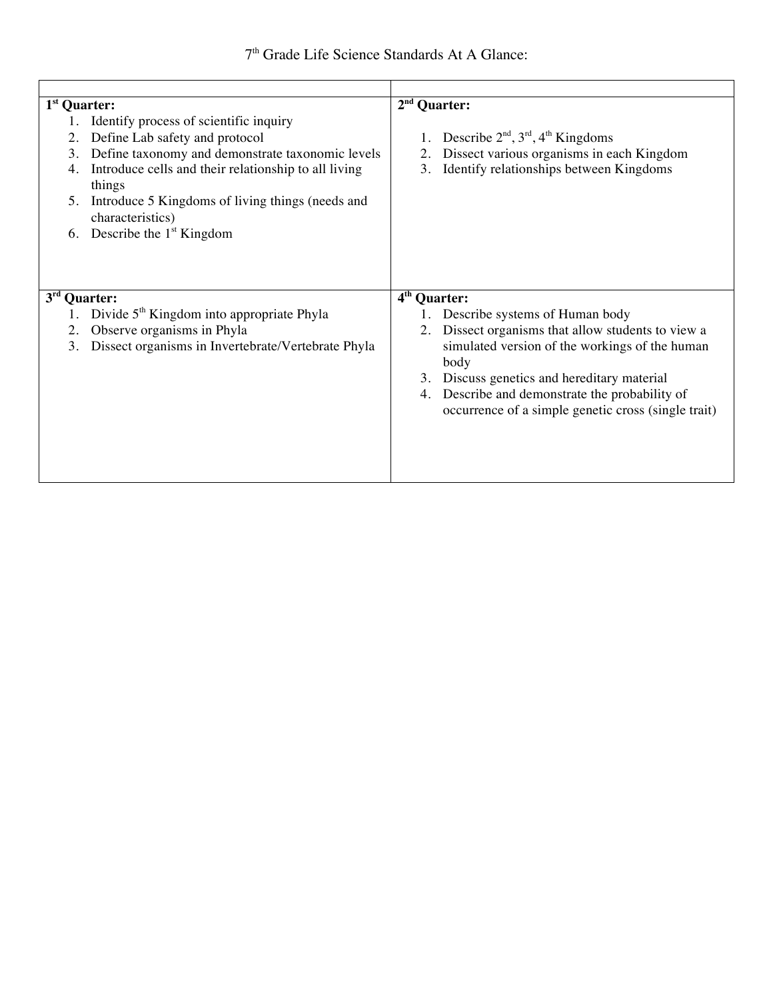| $1st$ Quarter:                                                                                                                                                                                                                                                                                                                     | $2nd$ Quarter:                                                                                                                                                                                                                                                                                               |  |
|------------------------------------------------------------------------------------------------------------------------------------------------------------------------------------------------------------------------------------------------------------------------------------------------------------------------------------|--------------------------------------------------------------------------------------------------------------------------------------------------------------------------------------------------------------------------------------------------------------------------------------------------------------|--|
| Identify process of scientific inquiry<br>Define Lab safety and protocol<br>2.<br>Define taxonomy and demonstrate taxonomic levels<br>3.<br>Introduce cells and their relationship to all living<br>4.<br>things<br>Introduce 5 Kingdoms of living things (needs and<br>5.<br>characteristics)<br>Describe the $1st$ Kingdom<br>6. | 1. Describe $2nd$ , $3rd$ , $4th$ Kingdoms<br>Dissect various organisms in each Kingdom<br>2.<br>Identify relationships between Kingdoms<br>3.                                                                                                                                                               |  |
| 3 <sup>rd</sup><br>Quarter:                                                                                                                                                                                                                                                                                                        | 4 <sup>th</sup> Quarter:                                                                                                                                                                                                                                                                                     |  |
| Divide 5 <sup>th</sup> Kingdom into appropriate Phyla<br>Observe organisms in Phyla<br>2.<br>Dissect organisms in Invertebrate/Vertebrate Phyla<br>3.                                                                                                                                                                              | 1. Describe systems of Human body<br>Dissect organisms that allow students to view a<br>2.<br>simulated version of the workings of the human<br>body<br>3. Discuss genetics and hereditary material<br>4. Describe and demonstrate the probability of<br>occurrence of a simple genetic cross (single trait) |  |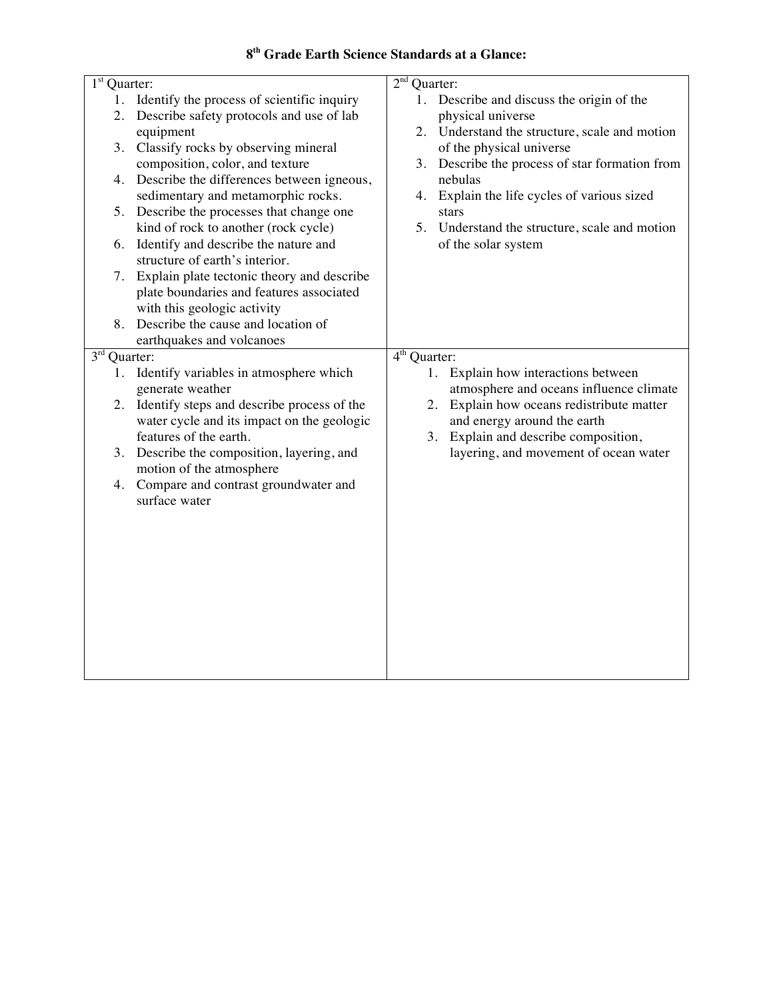## **8th Grade Earth Science Standards at a Glance:**

| 1 <sup>st</sup> Quarter:                         | $2nd$ Quarter:                                    |  |  |
|--------------------------------------------------|---------------------------------------------------|--|--|
| Identify the process of scientific inquiry<br>1. | 1. Describe and discuss the origin of the         |  |  |
| Describe safety protocols and use of lab<br>2.   | physical universe                                 |  |  |
| equipment                                        | Understand the structure, scale and motion<br>2.  |  |  |
| Classify rocks by observing mineral<br>3.        | of the physical universe                          |  |  |
| composition, color, and texture                  | Describe the process of star formation from<br>3. |  |  |
| Describe the differences between igneous,<br>4.  | nebulas                                           |  |  |
| sedimentary and metamorphic rocks.               | Explain the life cycles of various sized<br>4.    |  |  |
| Describe the processes that change one<br>5.     | stars                                             |  |  |
| kind of rock to another (rock cycle)             | 5.<br>Understand the structure, scale and motion  |  |  |
| Identify and describe the nature and<br>6.       | of the solar system                               |  |  |
| structure of earth's interior.                   |                                                   |  |  |
| Explain plate tectonic theory and describe<br>7. |                                                   |  |  |
| plate boundaries and features associated         |                                                   |  |  |
| with this geologic activity                      |                                                   |  |  |
| Describe the cause and location of<br>8.         |                                                   |  |  |
| earthquakes and volcanoes                        |                                                   |  |  |
| 3 <sup>rd</sup><br>Quarter:                      | 4 <sup>th</sup> Quarter:                          |  |  |
| Identify variables in atmosphere which<br>1.     | 1. Explain how interactions between               |  |  |
| generate weather                                 | atmosphere and oceans influence climate           |  |  |
| Identify steps and describe process of the<br>2. | 2. Explain how oceans redistribute matter         |  |  |
| water cycle and its impact on the geologic       | and energy around the earth                       |  |  |
| features of the earth.                           | 3. Explain and describe composition,              |  |  |
| Describe the composition, layering, and<br>3.    | layering, and movement of ocean water             |  |  |
| motion of the atmosphere                         |                                                   |  |  |
| Compare and contrast groundwater and<br>4.       |                                                   |  |  |
| surface water                                    |                                                   |  |  |
|                                                  |                                                   |  |  |
|                                                  |                                                   |  |  |
|                                                  |                                                   |  |  |
|                                                  |                                                   |  |  |
|                                                  |                                                   |  |  |
|                                                  |                                                   |  |  |
|                                                  |                                                   |  |  |
|                                                  |                                                   |  |  |
|                                                  |                                                   |  |  |
|                                                  |                                                   |  |  |
|                                                  |                                                   |  |  |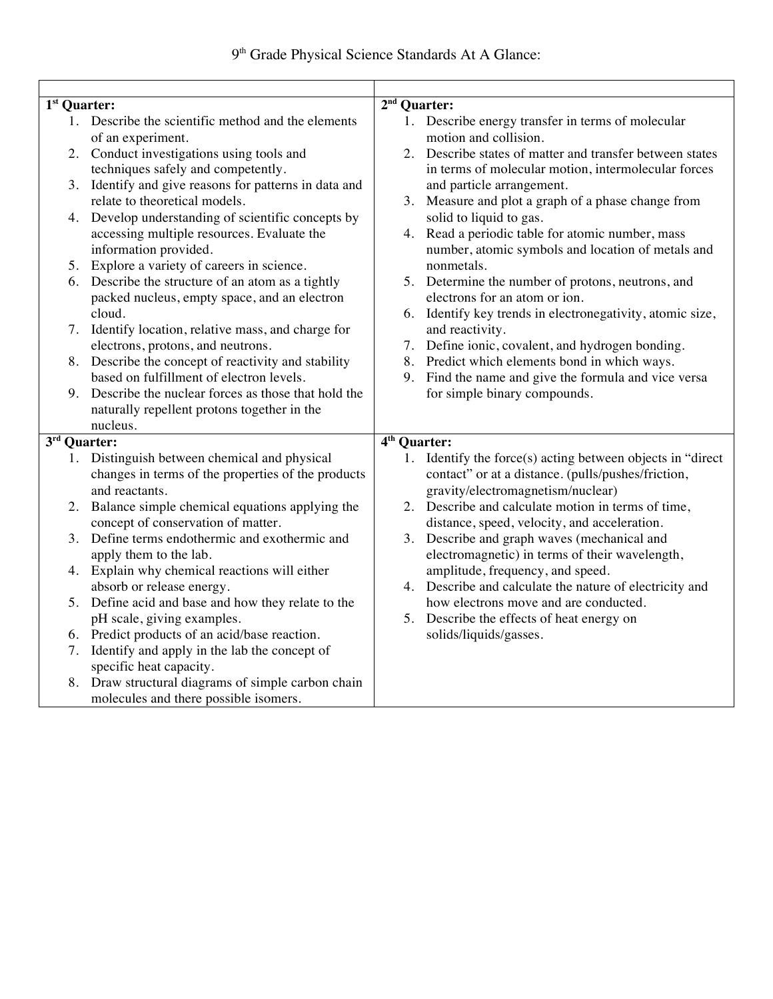| 1 <sup>st</sup> Quarter:     |                                                                                                                      | 2 <sup>nd</sup><br><b>Quarter:</b> |                                                                                                                                                       |  |
|------------------------------|----------------------------------------------------------------------------------------------------------------------|------------------------------------|-------------------------------------------------------------------------------------------------------------------------------------------------------|--|
|                              | 1. Describe the scientific method and the elements<br>of an experiment.                                              |                                    | 1. Describe energy transfer in terms of molecular<br>motion and collision.                                                                            |  |
|                              | 2. Conduct investigations using tools and<br>techniques safely and competently.                                      |                                    | 2. Describe states of matter and transfer between states<br>in terms of molecular motion, intermolecular forces                                       |  |
|                              | 3. Identify and give reasons for patterns in data and<br>relate to theoretical models.                               |                                    | and particle arrangement.<br>3. Measure and plot a graph of a phase change from                                                                       |  |
|                              | 4. Develop understanding of scientific concepts by                                                                   |                                    | solid to liquid to gas.                                                                                                                               |  |
|                              | accessing multiple resources. Evaluate the<br>information provided.                                                  |                                    | 4. Read a periodic table for atomic number, mass<br>number, atomic symbols and location of metals and                                                 |  |
|                              | 5. Explore a variety of careers in science.                                                                          |                                    | nonmetals.                                                                                                                                            |  |
|                              | 6. Describe the structure of an atom as a tightly<br>packed nucleus, empty space, and an electron                    |                                    | 5. Determine the number of protons, neutrons, and<br>electrons for an atom or ion.                                                                    |  |
|                              | cloud.                                                                                                               |                                    | 6. Identify key trends in electronegativity, atomic size,                                                                                             |  |
|                              | 7. Identify location, relative mass, and charge for<br>electrons, protons, and neutrons.                             |                                    | and reactivity.<br>7. Define ionic, covalent, and hydrogen bonding.                                                                                   |  |
|                              | 8. Describe the concept of reactivity and stability                                                                  |                                    | 8. Predict which elements bond in which ways.                                                                                                         |  |
|                              | based on fulfillment of electron levels.                                                                             |                                    | 9. Find the name and give the formula and vice versa                                                                                                  |  |
|                              | 9. Describe the nuclear forces as those that hold the                                                                |                                    | for simple binary compounds.                                                                                                                          |  |
|                              | naturally repellent protons together in the                                                                          |                                    |                                                                                                                                                       |  |
|                              | nucleus.                                                                                                             |                                    |                                                                                                                                                       |  |
| $\overline{3^{rd}}$ Quarter: |                                                                                                                      | $\overline{4^{th}}$ Quarter:       |                                                                                                                                                       |  |
|                              | 1. Distinguish between chemical and physical<br>changes in terms of the properties of the products<br>and reactants. |                                    | 1. Identify the force(s) acting between objects in "direct<br>contact" or at a distance. (pulls/pushes/friction,<br>gravity/electromagnetism/nuclear) |  |
|                              | 2. Balance simple chemical equations applying the                                                                    |                                    | 2. Describe and calculate motion in terms of time,                                                                                                    |  |
|                              | concept of conservation of matter.                                                                                   |                                    | distance, speed, velocity, and acceleration.                                                                                                          |  |
|                              | 3. Define terms endothermic and exothermic and<br>apply them to the lab.                                             |                                    | 3. Describe and graph waves (mechanical and<br>electromagnetic) in terms of their wavelength,                                                         |  |
|                              | 4. Explain why chemical reactions will either                                                                        |                                    | amplitude, frequency, and speed.                                                                                                                      |  |
|                              | absorb or release energy.                                                                                            |                                    | 4. Describe and calculate the nature of electricity and                                                                                               |  |
|                              | 5. Define acid and base and how they relate to the                                                                   |                                    | how electrons move and are conducted.                                                                                                                 |  |
|                              | pH scale, giving examples.                                                                                           |                                    | 5. Describe the effects of heat energy on                                                                                                             |  |
|                              | 6. Predict products of an acid/base reaction.                                                                        |                                    | solids/liquids/gasses.                                                                                                                                |  |
|                              | 7. Identify and apply in the lab the concept of<br>specific heat capacity.                                           |                                    |                                                                                                                                                       |  |
|                              | 8. Draw structural diagrams of simple carbon chain                                                                   |                                    |                                                                                                                                                       |  |
|                              | molecules and there possible isomers.                                                                                |                                    |                                                                                                                                                       |  |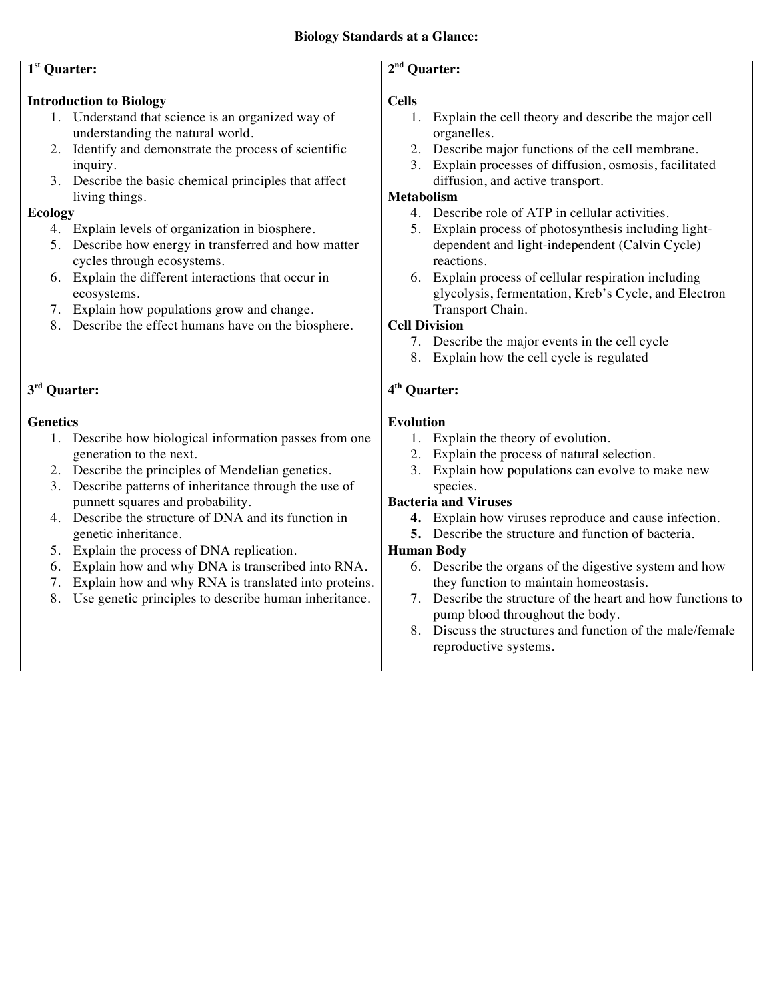| $1st$ Quarter:                 |                                                                                                             |                                                                                                  |  |  |
|--------------------------------|-------------------------------------------------------------------------------------------------------------|--------------------------------------------------------------------------------------------------|--|--|
|                                |                                                                                                             | $2nd$ Quarter:                                                                                   |  |  |
| <b>Introduction to Biology</b> |                                                                                                             | <b>Cells</b>                                                                                     |  |  |
|                                | 1. Understand that science is an organized way of                                                           | Explain the cell theory and describe the major cell<br>1.                                        |  |  |
|                                | understanding the natural world.                                                                            | organelles.                                                                                      |  |  |
|                                | 2. Identify and demonstrate the process of scientific                                                       | 2. Describe major functions of the cell membrane.                                                |  |  |
|                                | inquiry.                                                                                                    | 3. Explain processes of diffusion, osmosis, facilitated                                          |  |  |
|                                | 3. Describe the basic chemical principles that affect                                                       | diffusion, and active transport.                                                                 |  |  |
|                                | living things.                                                                                              | <b>Metabolism</b>                                                                                |  |  |
| <b>Ecology</b>                 |                                                                                                             | 4. Describe role of ATP in cellular activities.                                                  |  |  |
|                                | 4. Explain levels of organization in biosphere.                                                             | 5. Explain process of photosynthesis including light-                                            |  |  |
|                                | 5. Describe how energy in transferred and how matter                                                        | dependent and light-independent (Calvin Cycle)                                                   |  |  |
|                                | cycles through ecosystems.                                                                                  | reactions.                                                                                       |  |  |
|                                | 6. Explain the different interactions that occur in                                                         | 6. Explain process of cellular respiration including                                             |  |  |
|                                | ecosystems.                                                                                                 | glycolysis, fermentation, Kreb's Cycle, and Electron                                             |  |  |
|                                | 7. Explain how populations grow and change.                                                                 | Transport Chain.                                                                                 |  |  |
|                                | 8. Describe the effect humans have on the biosphere.                                                        | <b>Cell Division</b>                                                                             |  |  |
|                                |                                                                                                             | 7. Describe the major events in the cell cycle                                                   |  |  |
|                                |                                                                                                             | 8. Explain how the cell cycle is regulated                                                       |  |  |
|                                |                                                                                                             |                                                                                                  |  |  |
|                                |                                                                                                             |                                                                                                  |  |  |
| 3 <sup>rd</sup> Quarter:       |                                                                                                             | 4 <sup>th</sup> Quarter:                                                                         |  |  |
|                                |                                                                                                             |                                                                                                  |  |  |
| <b>Genetics</b>                |                                                                                                             | <b>Evolution</b>                                                                                 |  |  |
|                                | 1. Describe how biological information passes from one                                                      | 1. Explain the theory of evolution.                                                              |  |  |
|                                | generation to the next.                                                                                     | 2. Explain the process of natural selection.                                                     |  |  |
|                                | 2. Describe the principles of Mendelian genetics.                                                           | 3. Explain how populations can evolve to make new                                                |  |  |
|                                | 3. Describe patterns of inheritance through the use of                                                      | species.                                                                                         |  |  |
|                                | punnett squares and probability.                                                                            | <b>Bacteria and Viruses</b>                                                                      |  |  |
|                                | 4. Describe the structure of DNA and its function in                                                        | 4. Explain how viruses reproduce and cause infection.                                            |  |  |
|                                | genetic inheritance.                                                                                        | 5. Describe the structure and function of bacteria.                                              |  |  |
|                                | 5. Explain the process of DNA replication.                                                                  | <b>Human Body</b>                                                                                |  |  |
| 7.                             | 6. Explain how and why DNA is transcribed into RNA.<br>Explain how and why RNA is translated into proteins. | 6. Describe the organs of the digestive system and how<br>they function to maintain homeostasis. |  |  |
| 8.                             | Use genetic principles to describe human inheritance.                                                       | Describe the structure of the heart and how functions to<br>7.                                   |  |  |
|                                |                                                                                                             | pump blood throughout the body.                                                                  |  |  |
|                                |                                                                                                             | 8. Discuss the structures and function of the male/female                                        |  |  |
|                                |                                                                                                             | reproductive systems.                                                                            |  |  |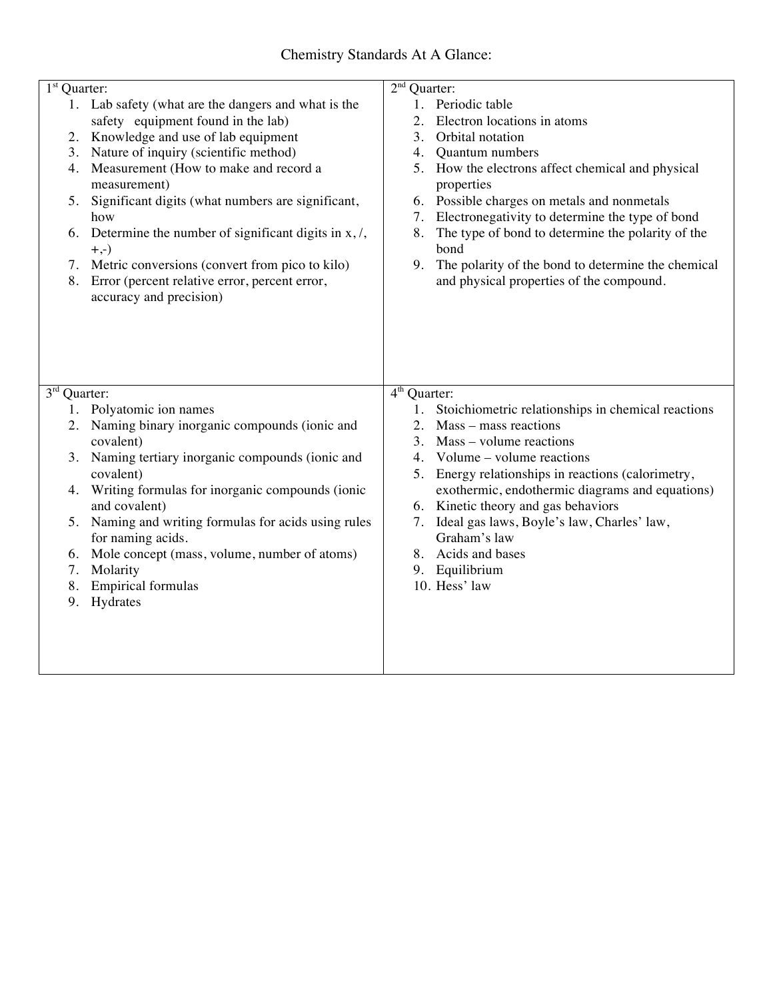| $1st$ Quarter: |                                                                          | $2nd$ Quarter:                                                                                       |
|----------------|--------------------------------------------------------------------------|------------------------------------------------------------------------------------------------------|
|                | 1. Lab safety (what are the dangers and what is the                      | 1. Periodic table                                                                                    |
|                | safety equipment found in the lab)                                       | 2.<br>Electron locations in atoms                                                                    |
| 2.             | Knowledge and use of lab equipment                                       | 3.<br>Orbital notation                                                                               |
|                | 3. Nature of inquiry (scientific method)                                 | 4.<br>Quantum numbers                                                                                |
| 4.             | Measurement (How to make and record a<br>measurement)                    | How the electrons affect chemical and physical<br>5.<br>properties                                   |
| 5.             | Significant digits (what numbers are significant,<br>how                 | 6. Possible charges on metals and nonmetals<br>Electronegativity to determine the type of bond<br>7. |
| 6.             | Determine the number of significant digits in $x$ , $\ell$ ,<br>$+, -)$  | 8.<br>The type of bond to determine the polarity of the<br>bond                                      |
|                | 7. Metric conversions (convert from pico to kilo)                        | 9.<br>The polarity of the bond to determine the chemical                                             |
| 8.             | Error (percent relative error, percent error,<br>accuracy and precision) | and physical properties of the compound.                                                             |
|                |                                                                          |                                                                                                      |
|                |                                                                          |                                                                                                      |
| $3rd$ Quarter: |                                                                          | $\overline{4^{th}}$ Quarter:                                                                         |
|                | 1. Polyatomic ion names                                                  | Stoichiometric relationships in chemical reactions<br>1.                                             |
|                | 2. Naming binary inorganic compounds (ionic and                          | $Mass - mass$ reactions<br>2.<br>3.                                                                  |
|                | covalent)<br>3. Naming tertiary inorganic compounds (ionic and           | Mass - volume reactions<br>Volume – volume reactions<br>4.                                           |
|                | covalent)                                                                | Energy relationships in reactions (calorimetry,<br>5.                                                |
| 4.             | Writing formulas for inorganic compounds (ionic                          | exothermic, endothermic diagrams and equations)                                                      |
|                | and covalent)                                                            | 6. Kinetic theory and gas behaviors                                                                  |
|                | 5. Naming and writing formulas for acids using rules                     | Ideal gas laws, Boyle's law, Charles' law,<br>7.                                                     |
|                | for naming acids.                                                        | Graham's law                                                                                         |
| 6.             | Mole concept (mass, volume, number of atoms)                             | Acids and bases<br>8.                                                                                |
| 7.             | Molarity                                                                 | Equilibrium<br>9.                                                                                    |
| 8.             | <b>Empirical formulas</b>                                                | 10. Hess' law                                                                                        |
| 9.             | Hydrates                                                                 |                                                                                                      |
|                |                                                                          |                                                                                                      |
|                |                                                                          |                                                                                                      |